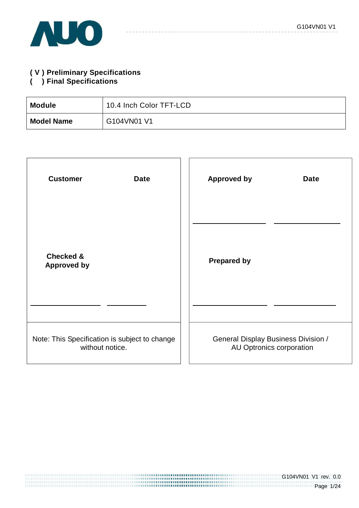

# **( V ) Preliminary Specifications**

### **( ) Final Specifications**

| <b>Module</b>     | 10.4 Inch Color TFT-LCD |
|-------------------|-------------------------|
| <b>Model Name</b> | G104VN01 V1             |

| <b>Customer</b>                               | <b>Approved by</b>                         |
|-----------------------------------------------|--------------------------------------------|
| <b>Date</b>                                   | <b>Date</b>                                |
| <b>Checked &amp;</b><br><b>Approved by</b>    | <b>Prepared by</b>                         |
| Note: This Specification is subject to change | <b>General Display Business Division /</b> |
| without notice.                               | AU Optronics corporation                   |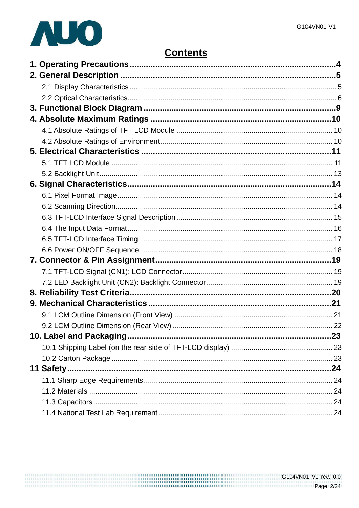

# **Contents**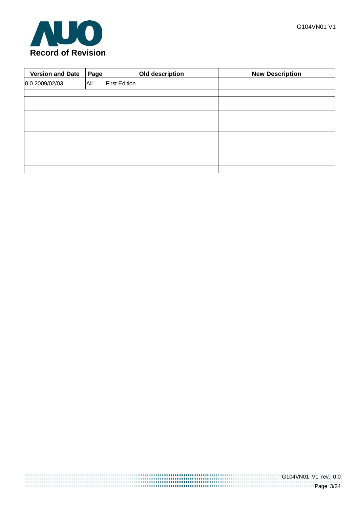

| <b>Version and Date</b> | Page | Old description      | <b>New Description</b> |
|-------------------------|------|----------------------|------------------------|
| 0.0 2009/02/03          | All  | <b>First Edition</b> |                        |
|                         |      |                      |                        |
|                         |      |                      |                        |
|                         |      |                      |                        |
|                         |      |                      |                        |
|                         |      |                      |                        |
|                         |      |                      |                        |
|                         |      |                      |                        |
|                         |      |                      |                        |
|                         |      |                      |                        |
|                         |      |                      |                        |
|                         |      |                      |                        |
|                         |      |                      |                        |

 $- - - - - -$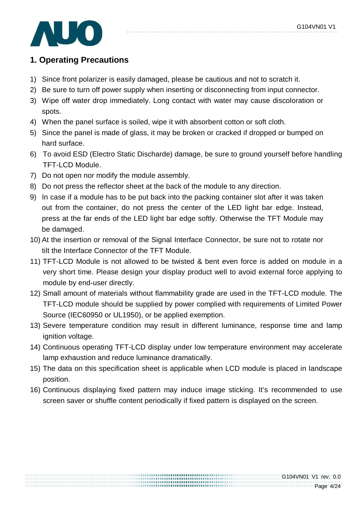

# **1. Operating Precautions**

- 1) Since front polarizer is easily damaged, please be cautious and not to scratch it.
- 2) Be sure to turn off power supply when inserting or disconnecting from input connector.
- 3) Wipe off water drop immediately. Long contact with water may cause discoloration or spots.
- 4) When the panel surface is soiled, wipe it with absorbent cotton or soft cloth.
- 5) Since the panel is made of glass, it may be broken or cracked if dropped or bumped on hard surface.
- 6) To avoid ESD (Electro Static Discharde) damage, be sure to ground yourself before handling TFT-LCD Module.
- 7) Do not open nor modify the module assembly.
- 8) Do not press the reflector sheet at the back of the module to any direction.
- 9) In case if a module has to be put back into the packing container slot after it was taken out from the container, do not press the center of the LED light bar edge. Instead, press at the far ends of the LED light bar edge softly. Otherwise the TFT Module may be damaged.
- 10) At the insertion or removal of the Signal Interface Connector, be sure not to rotate nor tilt the Interface Connector of the TFT Module.
- 11) TFT-LCD Module is not allowed to be twisted & bent even force is added on module in a very short time. Please design your display product well to avoid external force applying to module by end-user directly.
- 12) Small amount of materials without flammability grade are used in the TFT-LCD module. The TFT-LCD module should be supplied by power complied with requirements of Limited Power Source (IEC60950 or UL1950), or be applied exemption.
- 13) Severe temperature condition may result in different luminance, response time and lamp ignition voltage.
- 14) Continuous operating TFT-LCD display under low temperature environment may accelerate lamp exhaustion and reduce luminance dramatically.
- 15) The data on this specification sheet is applicable when LCD module is placed in landscape position.
- 16) Continuous displaying fixed pattern may induce image sticking. It's recommended to use screen saver or shuffle content periodically if fixed pattern is displayed on the screen.

.................................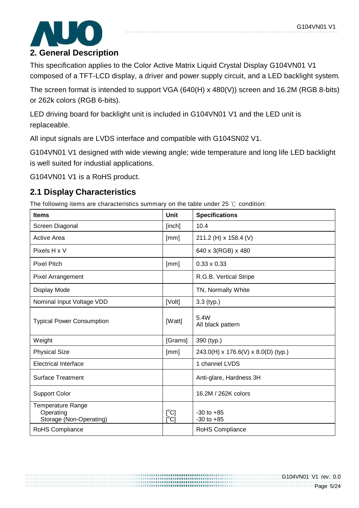

# **2. General Description**

This specification applies to the Color Active Matrix Liquid Crystal Display G104VN01 V1 composed of a TFT-LCD display, a driver and power supply circuit, and a LED backlight system.

The screen format is intended to support VGA (640(H) x 480(V)) screen and 16.2M (RGB 8-bits) or 262k colors (RGB 6-bits).

LED driving board for backlight unit is included in G104VN01 V1 and the LED unit is replaceable.

All input signals are LVDS interface and compatible with G104SN02 V1.

G104VN01 V1 designed with wide viewing angle; wide temperature and long life LED backlight is well suited for industial applications.

G104VN01 V1 is a RoHS product.

## **2.1 Display Characteristics**

The following items are characteristics summary on the table under 25 ℃ condition:

| <b>Items</b>                                                     | <b>Unit</b>                    | <b>Specifications</b>               |
|------------------------------------------------------------------|--------------------------------|-------------------------------------|
| Screen Diagonal                                                  | [inch]                         | 10.4                                |
| Active Area                                                      | [mm]                           | 211.2 (H) x 158.4 (V)               |
| Pixels H x V                                                     |                                | 640 x 3(RGB) x 480                  |
| <b>Pixel Pitch</b>                                               | [mm]                           | $0.33 \times 0.33$                  |
| <b>Pixel Arrangement</b>                                         |                                | R.G.B. Vertical Stripe              |
| Display Mode                                                     |                                | TN, Normally White                  |
| Nominal Input Voltage VDD                                        | [Volt]                         | $3.3$ (typ.)                        |
| <b>Typical Power Consumption</b>                                 | [Watt]                         | 5.4W<br>All black pattern           |
| Weight                                                           | [Grams]                        | 390 (typ.)                          |
| <b>Physical Size</b>                                             | [mm]                           | 243.0(H) x 176.6(V) x 8.0(D) (typ.) |
| <b>Electrical Interface</b>                                      |                                | 1 channel LVDS                      |
| <b>Surface Treatment</b>                                         |                                | Anti-glare, Hardness 3H             |
| <b>Support Color</b>                                             |                                | 16.2M / 262K colors                 |
| <b>Temperature Range</b><br>Operating<br>Storage (Non-Operating) | $[^{\circ}C]$<br>$[^{\circ}C]$ | $-30$ to $+85$<br>$-30$ to $+85$    |
| RoHS Compliance                                                  |                                | RoHS Compliance                     |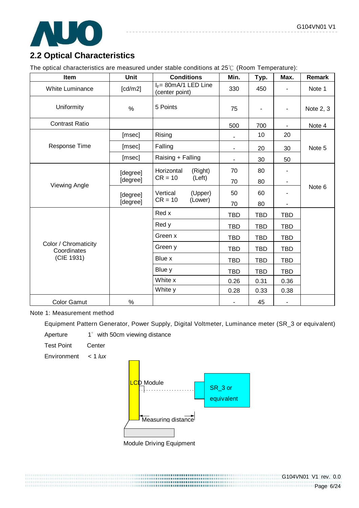

# **2.2 Optical Characteristics**

The optical characteristics are measured under stable conditions at 25℃ (Room Temperature):

| Item                                | <b>Unit</b> | <b>Conditions</b>                          | Min.       | Typ.       | Max.                     | Remark    |
|-------------------------------------|-------------|--------------------------------------------|------------|------------|--------------------------|-----------|
| <b>White Luminance</b>              | [cd/m2]     | $I_F = 80$ mA/1 LED Line<br>(center point) | 330        | 450        |                          | Note 1    |
| Uniformity                          | $\%$        | 5 Points                                   | 75         |            | $\overline{\phantom{0}}$ | Note 2, 3 |
| <b>Contrast Ratio</b>               |             |                                            | 500        | 700        | $\overline{\phantom{a}}$ | Note 4    |
|                                     | [msec]      | Rising                                     |            | 10         | 20                       |           |
| <b>Response Time</b>                | [msec]      | Falling                                    | Ξ.         | 20         | 30                       | Note 5    |
|                                     | [msec]      | Raising + Falling                          |            | 30         | 50                       |           |
| Viewing Angle                       | [degree]    | Horizontal<br>(Right)                      | 70         | 80         |                          |           |
|                                     | [degree]    | $CR = 10$<br>(Left)                        | 70         | 80         | ٠                        |           |
|                                     | [degree]    | Vertical<br>(Upper)                        | 50         | 60         |                          | Note 6    |
|                                     | [degree]    | $CR = 10$<br>(Lower)                       | 70         | 80         | -                        |           |
|                                     |             | Red x                                      | <b>TBD</b> | <b>TBD</b> | <b>TBD</b>               |           |
|                                     |             | Red y                                      | <b>TBD</b> | <b>TBD</b> | <b>TBD</b>               |           |
|                                     |             | Green x                                    | <b>TBD</b> | <b>TBD</b> | <b>TBD</b>               |           |
| Color / Chromaticity<br>Coordinates |             | Green y                                    | <b>TBD</b> | <b>TBD</b> | <b>TBD</b>               |           |
| (CIE 1931)                          |             | Blue x                                     | <b>TBD</b> | <b>TBD</b> | <b>TBD</b>               |           |
|                                     |             | Blue y                                     | <b>TBD</b> | <b>TBD</b> | <b>TBD</b>               |           |
|                                     |             | White x                                    | 0.26       | 0.31       | 0.36                     |           |
|                                     |             | White y                                    | 0.28       | 0.33       | 0.38                     |           |
| <b>Color Gamut</b>                  | %           |                                            |            | 45         |                          |           |

Note 1: Measurement method

Equipment Pattern Generator, Power Supply, Digital Voltmeter, Luminance meter (SR\_3 or equivalent)

Aperture 1° with 50cm viewing distance

Test Point Center

Environment  $< 1$  lux



,,,,,,,,,,,,,,,,,,,,,,,,,,,,,,,,,,

Module Driving Equipment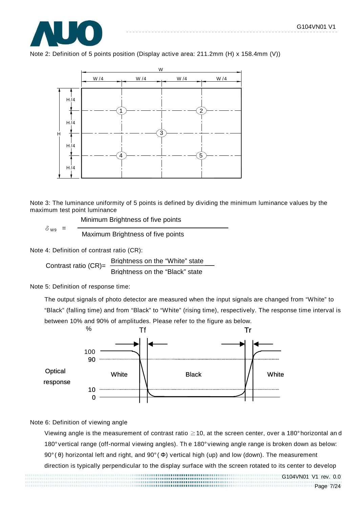





Note 3: The luminance uniformity of 5 points is defined by dividing the minimum luminance values by the maximum test point luminance

Minimum Brightness of five points

Maximum Brightness of five points

Note 4: Definition of contrast ratio (CR):

 $\delta$  wa =

Contrast ratio (CR)= Brightness on the "White" state Brightness on the "Black" state

Note 5: Definition of response time:

The output signals of photo detector are measured when the input signals are changed from "White" to "Black" (falling time) and from "Black" to "White" (rising time), respectively. The response time interval is between 10% and 90% of amplitudes. Please refer to the figure as below.



#### Note 6: Definition of viewing angle

Viewing angle is the measurement of contrast ratio ≧10, at the screen center, over a 180° horizontal an d 180° vertical range (off-normal viewing angles). Th e 180° viewing angle range is broken down as below: 90° ( θ) horizontal left and right, and 90° ( Φ) vertical high (up) and low (down). The measurement

direction is typically perpendicular to the display surface with the screen rotated to its center to develop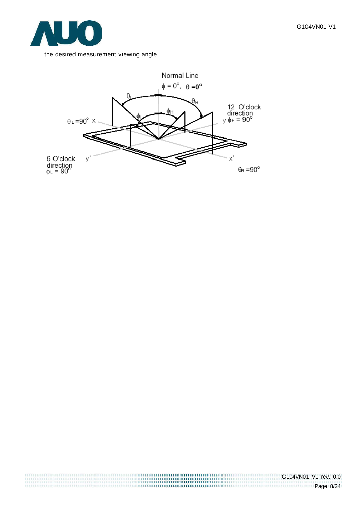

the desired measurement viewing angle.

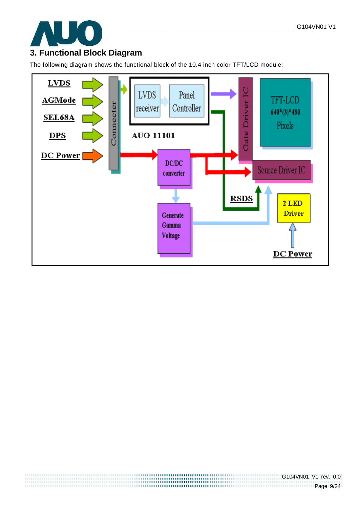

## **3. Functional Block Diagram**

The following diagram shows the functional block of the 10.4 inch color TFT/LCD module:

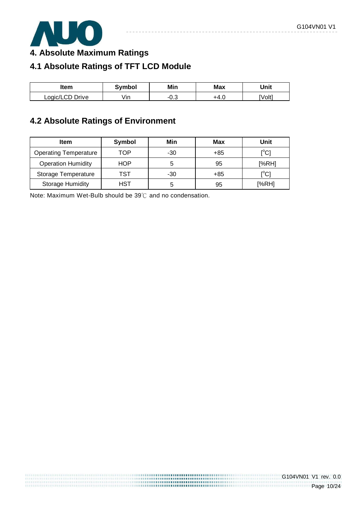

**4. Absolute Maximum Ratings** 

# **4.1 Absolute Ratings of TFT LCD Module**

| ltem            | <b>Symbol</b> | Min | <b>Max</b> | Unit   |
|-----------------|---------------|-----|------------|--------|
| Logic/LCD Drive | ∕ın           | v.J | − +4.ປ     | [Volt] |

# **4.2 Absolute Ratings of Environment**

| <b>Item</b>                  | Symbol | Min   | Max | Unit                                  |
|------------------------------|--------|-------|-----|---------------------------------------|
| <b>Operating Temperature</b> | TOP    | $-30$ | +85 | [°C]                                  |
| <b>Operation Humidity</b>    | HOP    | 5     | 95  | [%RH]                                 |
| Storage Temperature          | TST    | $-30$ | +85 | $\mathop{\rm l}{\rm ^\circ C}{\rm l}$ |
| <b>Storage Humidity</b>      | HST    | 5     | 95  | [%RH]                                 |

,,,,,,,,,,,,,,,,,,,,,,,,,,,,,,,,,,,,

Note: Maximum Wet-Bulb should be 39℃ and no condensation.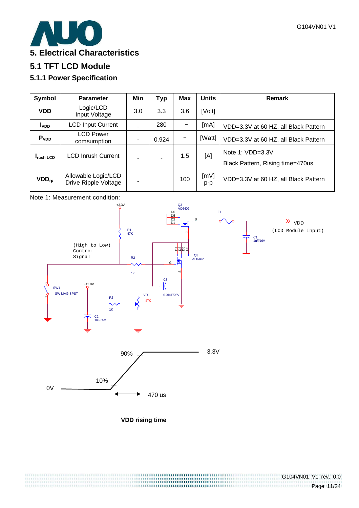

# **5.1 TFT LCD Module**

## **5.1.1 Power Specification**

| Symbol            | <b>Parameter</b>                            | Min | <b>Typ</b> | <b>Max</b> | <b>Units</b> | Remark                                               |
|-------------------|---------------------------------------------|-----|------------|------------|--------------|------------------------------------------------------|
| <b>VDD</b>        | Logic/LCD<br>Input Voltage                  | 3.0 | 3.3        | 3.6        | [Volt]       |                                                      |
| I <sub>VDD</sub>  | <b>LCD Input Current</b>                    |     | 280        |            | [mA]         | VDD=3.3V at 60 HZ, all Black Pattern                 |
| P <sub>VDD</sub>  | <b>LCD Power</b><br>comsumption             | ٠   | 0.924      |            | [Watt]       | VDD=3.3V at 60 HZ, all Black Pattern                 |
| <b>I</b> rush LCD | <b>LCD Inrush Current</b>                   |     | ÷.         | 1.5        | [A]          | Note 1; VDD=3.3V<br>Black Pattern, Rising time=470us |
| $VDD_{rp}$        | Allowable Logic/LCD<br>Drive Ripple Voltage | ۰   |            | 100        | [MV]<br>p-p  | VDD=3.3V at 60 HZ, all Black Pattern                 |





**VDD rising time**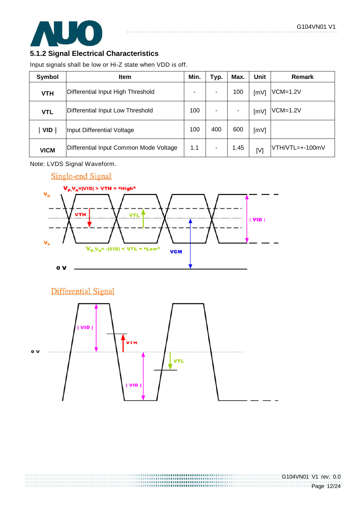

### **5.1.2 Signal Electrical Characteristics**

Input signals shall be low or Hi-Z state when VDD is off.

| Symbol      | Item                                   | Min. | Typ. | Max. | Unit | <b>Remark</b>   |
|-------------|----------------------------------------|------|------|------|------|-----------------|
| <b>VTH</b>  | Differential Input High Threshold      |      |      | 100  | [mV] | $VCM=1.2V$      |
| <b>VTL</b>  | Differential Input Low Threshold       | 100  |      | ۰    | [mV] | $VCM=1.2V$      |
| <b>VID</b>  | Input Differential Voltage             | 100  | 400  | 600  | [mV] |                 |
| <b>VICM</b> | Differential Input Common Mode Voltage | 1.1  | ٠    | 1.45 | [V]  | VTH/VTL=+-100mV |

Note: LVDS Signal Waveform.



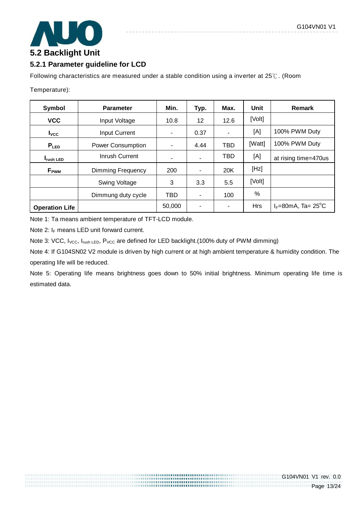

### **5.2.1 Parameter guideline for LCD**

Following characteristics are measured under a stable condition using a inverter at 25℃. (Room

Temperature):

| Symbol                              | <b>Parameter</b>         |            | Typ. | Max.                     | Unit       | <b>Remark</b>                        |
|-------------------------------------|--------------------------|------------|------|--------------------------|------------|--------------------------------------|
| <b>VCC</b>                          | Input Voltage            | 10.8       | 12   | 12.6                     | [Volt]     |                                      |
| $I_{\text{VCC}}$                    | <b>Input Current</b>     |            | 0.37 | ٠                        | [A]        | 100% PWM Duty                        |
| $P_{LED}$                           | <b>Power Consumption</b> |            | 4.44 | <b>TBD</b>               | [Watt]     | 100% PWM Duty                        |
| Inrush Current<br><b>I</b> rush LED |                          |            |      | TBD                      | [A]        | at rising time=470us                 |
| Dimming Frequency<br>$F_{\rm PWM}$  |                          | 200        |      | 20K                      | [Hz]       |                                      |
|                                     | <b>Swing Voltage</b>     | 3          | 3.3  | 5.5                      | [Volt]     |                                      |
|                                     | Dimmung duty cycle       | <b>TBD</b> |      | 100                      | %          |                                      |
| <b>Operation Life</b>               |                          | 50,000     |      | $\overline{\phantom{0}}$ | <b>Hrs</b> | $I_F = 80$ mA, Ta= 25 <sup>°</sup> C |

Note 1: Ta means ambient temperature of TFT-LCD module.

Note 2:  $I_F$  means LED unit forward current.

Note 3: VCC, I<sub>VCC</sub>, I<sub>rush LED</sub>, P<sub>VCC</sub> are defined for LED backlight.(100% duty of PWM dimming)

Note 4: If G104SN02 V2 module is driven by high current or at high ambient temperature & humidity condition. The operating life will be reduced.

Note 5: Operating life means brightness goes down to 50% initial brightness. Minimum operating life time is estimated data.

> ,,,,,,,,,,,,,,,,,,,,,,,,,,,,,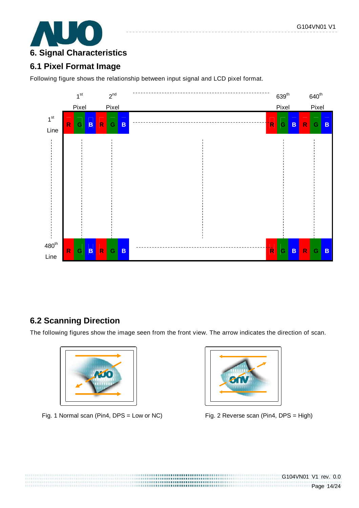

# **6.1 Pixel Format Image**

Following figure shows the relationship between input signal and LCD pixel format.



## **6.2 Scanning Direction**

The following figures show the image seen from the front view. The arrow indicates the direction of scan.

,,,,,,,,,,,,,,,,,,,,,,,,,,,,,, ,,,,,,,,,,,,,,,,,,,,,,,,,,,,,,,,,,,



Fig. 1 Normal scan (Pin4, DPS = Low or NC) Fig. 2 Reverse scan (Pin4, DPS = High)

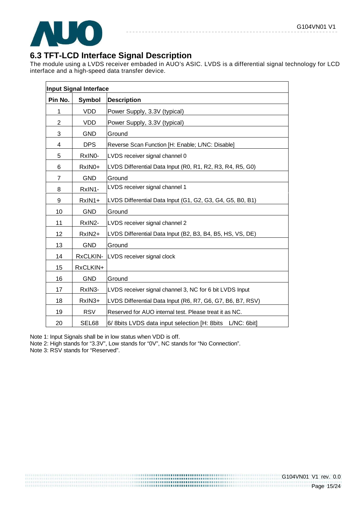

## **6.3 TFT-LCD Interface Signal Description**

The module using a LVDS receiver embaded in AUO's ASIC. LVDS is a differential signal technology for LCD interface and a high-speed data transfer device.

|                | <b>Input Signal Interface</b> |                                                                 |
|----------------|-------------------------------|-----------------------------------------------------------------|
| Pin No.        | Symbol                        | <b>Description</b>                                              |
| 1              | <b>VDD</b>                    | Power Supply, 3.3V (typical)                                    |
| $\overline{2}$ | <b>VDD</b>                    | Power Supply, 3.3V (typical)                                    |
| 3              | <b>GND</b>                    | Ground                                                          |
| 4              | <b>DPS</b>                    | Reverse Scan Function [H: Enable; L/NC: Disable]                |
| 5              | RxINO-                        | LVDS receiver signal channel 0                                  |
| 6              | RxIN0+                        | LVDS Differential Data Input (R0, R1, R2, R3, R4, R5, G0)       |
| $\overline{7}$ | <b>GND</b>                    | Ground                                                          |
| 8              | RxIN1-                        | LVDS receiver signal channel 1                                  |
| 9              | RxIN1+                        | LVDS Differential Data Input (G1, G2, G3, G4, G5, B0, B1)       |
| 10             | <b>GND</b>                    | Ground                                                          |
| 11             | RxIN2-                        | LVDS receiver signal channel 2                                  |
| 12             | RxIN2+                        | LVDS Differential Data Input (B2, B3, B4, B5, HS, VS, DE)       |
| 13             | <b>GND</b>                    | Ground                                                          |
| 14             | RxCLKIN-                      | LVDS receiver signal clock                                      |
| 15             | RxCLKIN+                      |                                                                 |
| 16             | <b>GND</b>                    | Ground                                                          |
| 17             | RxIN3-                        | LVDS receiver signal channel 3, NC for 6 bit LVDS Input         |
| 18             | RxIN3+                        | LVDS Differential Data Input (R6, R7, G6, G7, B6, B7, RSV)      |
| 19             | <b>RSV</b>                    | Reserved for AUO internal test. Please treat it as NC.          |
| 20             | SEL68                         | 6/ 8bits LVDS data input selection [H: 8bits]<br>$L/NC$ : 6bit] |

Note 1: Input Signals shall be in low status when VDD is off.

Note 2: High stands for "3.3V", Low stands for "0V", NC stands for "No Connection".

Note 3: RSV stands for "Reserved".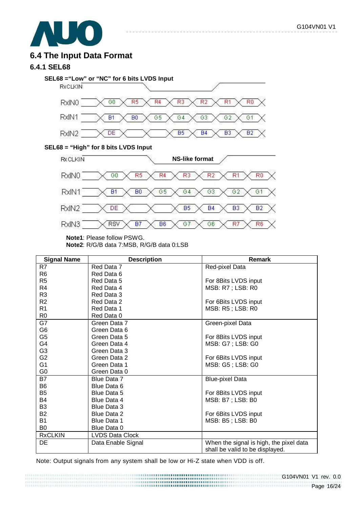

## **6.4 The Input Data Format**

### **6.4.1 SEL68**



 $\frac{1}{2} \frac{1}{2} \frac{1}{2} \frac{1}{2} \frac{1}{2} \frac{1}{2} \frac{1}{2} \frac{1}{2} \frac{1}{2} \frac{1}{2} \frac{1}{2} \frac{1}{2} \frac{1}{2} \frac{1}{2} \frac{1}{2} \frac{1}{2} \frac{1}{2} \frac{1}{2} \frac{1}{2} \frac{1}{2} \frac{1}{2} \frac{1}{2} \frac{1}{2} \frac{1}{2} \frac{1}{2} \frac{1}{2} \frac{1}{2} \frac{1}{2} \frac{1}{2} \frac{1}{2} \frac{1}{2} \frac{$ 

#### **SEL68 = "High" for 8 bits LVDS Input**



**Note1**: Please follow PSWG.

**Note2**: R/G/B data 7:MSB, R/G/B data 0:LSB

| <b>Signal Name</b> | <b>Description</b>     | Remark                                  |
|--------------------|------------------------|-----------------------------------------|
| R7                 | Red Data 7             | Red-pixel Data                          |
| R <sub>6</sub>     | Red Data 6             |                                         |
| R <sub>5</sub>     | Red Data 5             | For 8Bits LVDS input                    |
| R4                 | Red Data 4             | MSB: R7 ; LSB: R0                       |
| R <sub>3</sub>     | Red Data 3             |                                         |
| R <sub>2</sub>     | Red Data 2             | For 6Bits LVDS input                    |
| R <sub>1</sub>     | Red Data 1             | MSB: R5; LSB: R0                        |
| R <sub>0</sub>     | Red Data 0             |                                         |
| G7                 | Green Data 7           | Green-pixel Data                        |
| G <sub>6</sub>     | Green Data 6           |                                         |
| G <sub>5</sub>     | Green Data 5           | For 8Bits LVDS input                    |
| G4                 | Green Data 4           | MSB: G7; LSB: G0                        |
| G <sub>3</sub>     | Green Data 3           |                                         |
| G <sub>2</sub>     | Green Data 2           | For 6Bits LVDS input                    |
| G <sub>1</sub>     | Green Data 1           | MSB: G5; LSB: G0                        |
| G <sub>0</sub>     | Green Data 0           |                                         |
| <b>B7</b>          | Blue Data 7            | <b>Blue-pixel Data</b>                  |
| B <sub>6</sub>     | Blue Data 6            |                                         |
| B <sub>5</sub>     | Blue Data 5            | For 8Bits LVDS input                    |
| B4                 | Blue Data 4            | MSB: B7 ; LSB: B0                       |
| B <sub>3</sub>     | Blue Data 3            |                                         |
| <b>B2</b>          | <b>Blue Data 2</b>     | For 6Bits LVDS input                    |
| <b>B1</b>          | <b>Blue Data 1</b>     | MSB: B5; LSB: B0                        |
| B0                 | Blue Data 0            |                                         |
| <b>RxCLKIN</b>     | <b>LVDS Data Clock</b> |                                         |
| DE                 | Data Enable Signal     | When the signal is high, the pixel data |
|                    |                        | shall be valid to be displayed.         |

Note: Output signals from any system shall be low or Hi-Z state when VDD is off.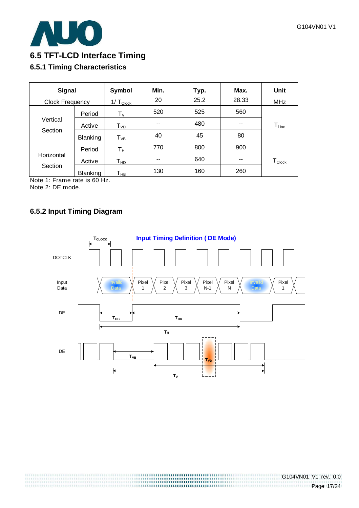

## **6.5 TFT-LCD Interface Timing**

### **6.5.1 Timing Characteristics**

| <b>Signal</b>   |                      | Symbol                      | Min. | Typ. | Max.  | <b>Unit</b>        |
|-----------------|----------------------|-----------------------------|------|------|-------|--------------------|
| Clock Frequency |                      | $1/\top_{\text{Clock}}$     | 20   | 25.2 | 28.33 | <b>MHz</b>         |
|                 | Period               | $T_V$                       | 520  | 525  | 560   |                    |
| Vertical        | Active               | $\mathsf{T}_{\mathsf{VD}}$  | --   | 480  | --    | $T_{Line}$         |
| Section         | Blanking             | ${\mathsf T}_{\textsf{VB}}$ | 40   | 45   | 80    |                    |
|                 | Period               | $\mathsf{T}_{\mathsf{H}}$   | 770  | 800  | 900   |                    |
| Horizontal      | Active               | Т <sub>нр</sub>             | --   | 640  | --    | $T_{\text{Clock}}$ |
| Section<br>.    | <b>Blanking</b><br>. | Т <sub>нв</sub>             | 130  | 160  | 260   |                    |

Note 1: Frame rate is 60 Hz. Note 2: DE mode.

### **6.5.2 Input Timing Diagram**

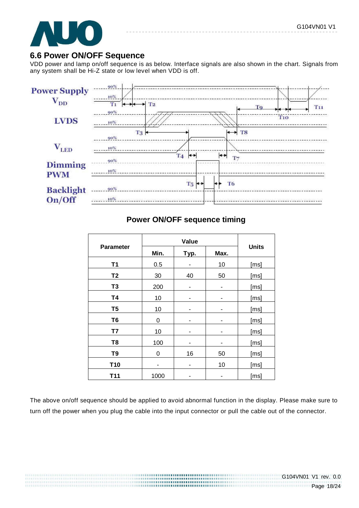

### **6.6 Power ON/OFF Sequence**

VDD power and lamp on/off sequence is as below. Interface signals are also shown in the chart. Signals from any system shall be Hi-Z state or low level when VDD is off.



### **Power ON/OFF sequence timing**

| <b>Parameter</b> | Min. | Typ. | Max. | <b>Units</b> |  |
|------------------|------|------|------|--------------|--|
| <b>T1</b>        | 0.5  |      | 10   | [ms]         |  |
| T <sub>2</sub>   | 30   | 40   | 50   | [ms]         |  |
| T <sub>3</sub>   | 200  | ۰    |      | [ms]         |  |
| <b>T4</b>        | 10   |      |      | [ms]         |  |
| T <sub>5</sub>   | 10   | ۰    | ۰    | [ms]         |  |
| T <sub>6</sub>   | 0    |      | ۰    | [ms]         |  |
| T7               | 10   |      |      | [ms]         |  |
| T <sub>8</sub>   | 100  |      |      | [ms]         |  |
| T <sub>9</sub>   | 0    | 16   | 50   | [ms]         |  |
| T <sub>10</sub>  |      |      | 10   | [ms]         |  |
| T <sub>11</sub>  | 1000 |      |      | [ms]         |  |

The above on/off sequence should be applied to avoid abnormal function in the display. Please make sure to turn off the power when you plug the cable into the input connector or pull the cable out of the connector.

> ,,,,,,,,,,,,,,,,,,,,,,,,,,,,,,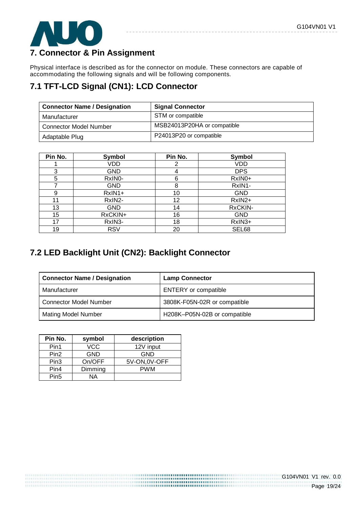

# **7. Connector & Pin Assignment**

Physical interface is described as for the connector on module. These connectors are capable of accommodating the following signals and will be following components.

# **7.1 TFT-LCD Signal (CN1): LCD Connector**

| <b>Connector Name / Designation</b> | <b>Signal Connector</b>     |
|-------------------------------------|-----------------------------|
| Manufacturer                        | STM or compatible           |
| <b>Connector Model Number</b>       | MSB24013P20HA or compatible |
| Adaptable Plug                      | P24013P20 or compatible     |

| Pin No. | Symbol              | Pin No. | Symbol     |
|---------|---------------------|---------|------------|
|         | VDD                 | 2       | VDD        |
| 3       | <b>GND</b>          | 4       | <b>DPS</b> |
| 5       | RxIN <sub>0</sub> - | 6       | RxIN0+     |
| 7       | <b>GND</b>          | 8       | RxIN1-     |
| 9       | $RxIN1+$            | 10      | <b>GND</b> |
| 11      | RxIN2-              | 12      | RxIN2+     |
| 13      | <b>GND</b>          | 14      | RxCKIN-    |
| 15      | RxCKIN+             | 16      | <b>GND</b> |
| 17      | RxIN3-              | 18      | RxIN3+     |
| 19      | <b>RSV</b>          | 20      | SEL68      |

## **7.2 LED Backlight Unit (CN2): Backlight Connector**

| <b>Connector Name / Designation</b> | <b>Lamp Connector</b>        |
|-------------------------------------|------------------------------|
| Manufacturer                        | <b>ENTERY</b> or compatible  |
| <b>Connector Model Number</b>       | 3808K-F05N-02R or compatible |
| <b>Mating Model Number</b>          | H208K-P05N-02B or compatible |

| Pin No.          | symbol     | description   |
|------------------|------------|---------------|
| Pin1             | VCC        | 12V input     |
| Pin <sub>2</sub> | <b>GND</b> | GND           |
| Pin <sub>3</sub> | On/OFF     | 5V-ON, 0V-OFF |
| Pin4             | Dimming    | <b>PWM</b>    |
| Pin <sub>5</sub> | ΝA         |               |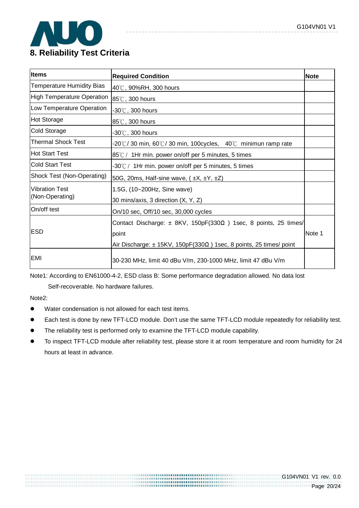

### **Items** Required Condition **Required Condition Required Condition Required Condition** Temperature Humidity Bias  $|_{40\degree}$ , 90%RH, 300 hours High Temperature Operation  $|85^{\circ}C|$ , 300 hours Low Temperature Operation  $\vert_{-30\degree}$  300 hours Hot Storage 85℃, 300 hours Cold Storage  $-30^\circ$ , 300 hours Thermal Shock Test  $-20 \degree C / 30$  min, 60 $\degree C / 30$  min, 100cycles, 40 $\degree C$  minimun ramp rate Hot Start Test  $85^{\circ}$  / 1Hr min. power on/off per 5 minutes, 5 times Cold Start Test  $-30^{\circ}$  / 1Hr min. power on/off per 5 minutes, 5 times Shock Test (Non-Operating)  $\Big| 50G, 20ms,$  Half-sine wave, ( $\pm X, \pm Y, \pm Z$ ) Vibration Test (Non-Operating) 1.5G, (10~200Hz, Sine wave) 30 mins/axis, 3 direction (X, Y, Z) On/off test  $\vert_{\text{On/10 sec, Off/10 sec, 30,000 cycles}}$ ESD Contact Discharge:  $\pm$  8KV, 150pF(330 $\Omega$ ) 1sec, 8 points, 25 times/ point Air Discharge: ± 15KV, 150pF(330Ω ) 1sec, 8 points, 25 times/ point Note 1 EMI 30-230 MHz, limit 40 dBu V/m, 230-1000 MHz, limit 47 dBu V/m

Note1: According to EN61000-4-2, ESD class B: Some performance degradation allowed. No data lost

Self-recoverable. No hardware failures.

Note2:

- Water condensation is not allowed for each test items.
- Each test is done by new TFT-LCD module. Don't use the same TFT-LCD module repeatedly for reliability test.
- The reliability test is performed only to examine the TFT-LCD module capability.
- To inspect TFT-LCD module after reliability test, please store it at room temperature and room humidity for 24 hours at least in advance.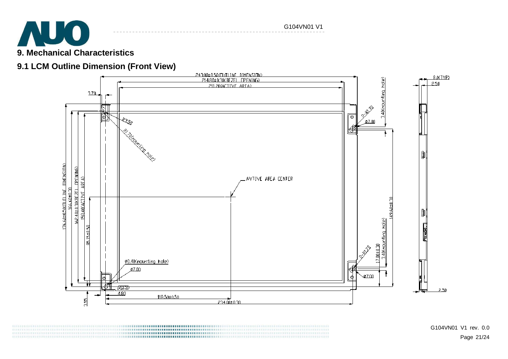

# **9.1 LCM Outline Dimension (Front View)**

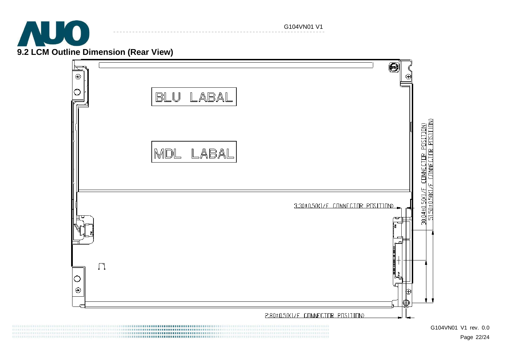

G104VN01 V1

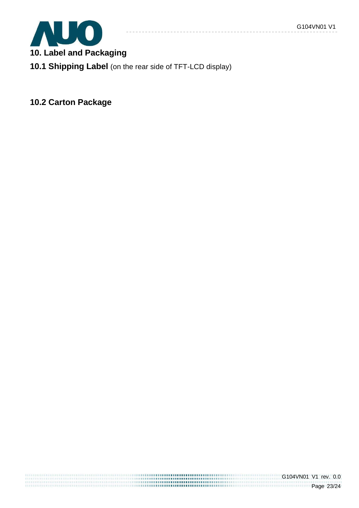

**10. Label and Packaging** 

**10.1 Shipping Label** (on the rear side of TFT-LCD display)

**10.2 Carton Package**